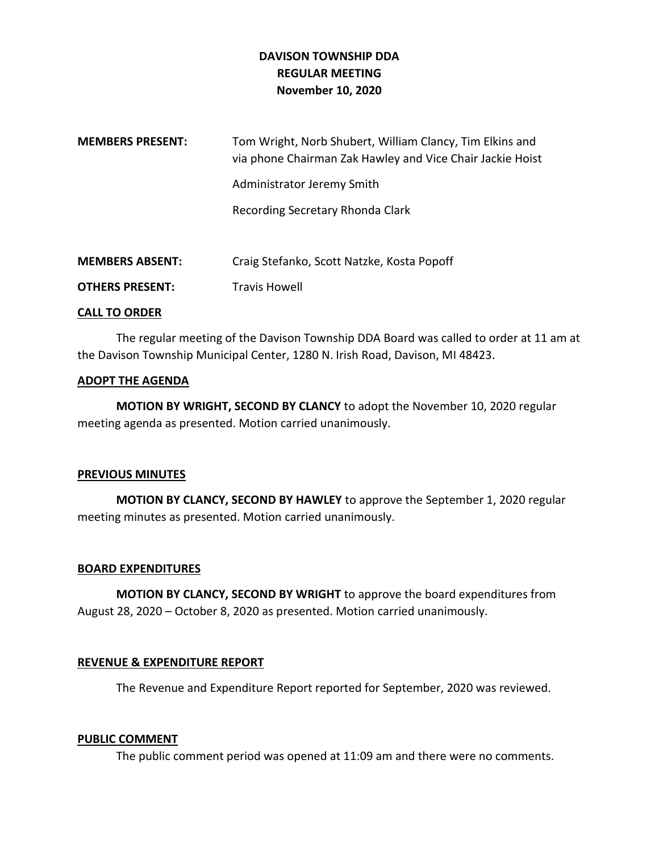# **DAVISON TOWNSHIP DDA REGULAR MEETING November 10, 2020**

| <b>MEMBERS PRESENT:</b> | Tom Wright, Norb Shubert, William Clancy, Tim Elkins and<br>via phone Chairman Zak Hawley and Vice Chair Jackie Hoist |
|-------------------------|-----------------------------------------------------------------------------------------------------------------------|
|                         | Administrator Jeremy Smith                                                                                            |
|                         | Recording Secretary Rhonda Clark                                                                                      |
|                         |                                                                                                                       |
| <b>MEMBERS ABSENT:</b>  | Craig Stefanko, Scott Natzke, Kosta Popoff                                                                            |
| <b>OTHERS PRESENT:</b>  | <b>Travis Howell</b>                                                                                                  |
|                         |                                                                                                                       |

#### **CALL TO ORDER**

The regular meeting of the Davison Township DDA Board was called to order at 11 am at the Davison Township Municipal Center, 1280 N. Irish Road, Davison, MI 48423.

#### **ADOPT THE AGENDA**

**MOTION BY WRIGHT, SECOND BY CLANCY** to adopt the November 10, 2020 regular meeting agenda as presented. Motion carried unanimously.

## **PREVIOUS MINUTES**

**MOTION BY CLANCY, SECOND BY HAWLEY** to approve the September 1, 2020 regular meeting minutes as presented. Motion carried unanimously.

## **BOARD EXPENDITURES**

**MOTION BY CLANCY, SECOND BY WRIGHT** to approve the board expenditures from August 28, 2020 – October 8, 2020 as presented. Motion carried unanimously.

## **REVENUE & EXPENDITURE REPORT**

The Revenue and Expenditure Report reported for September, 2020 was reviewed.

#### **PUBLIC COMMENT**

The public comment period was opened at 11:09 am and there were no comments.